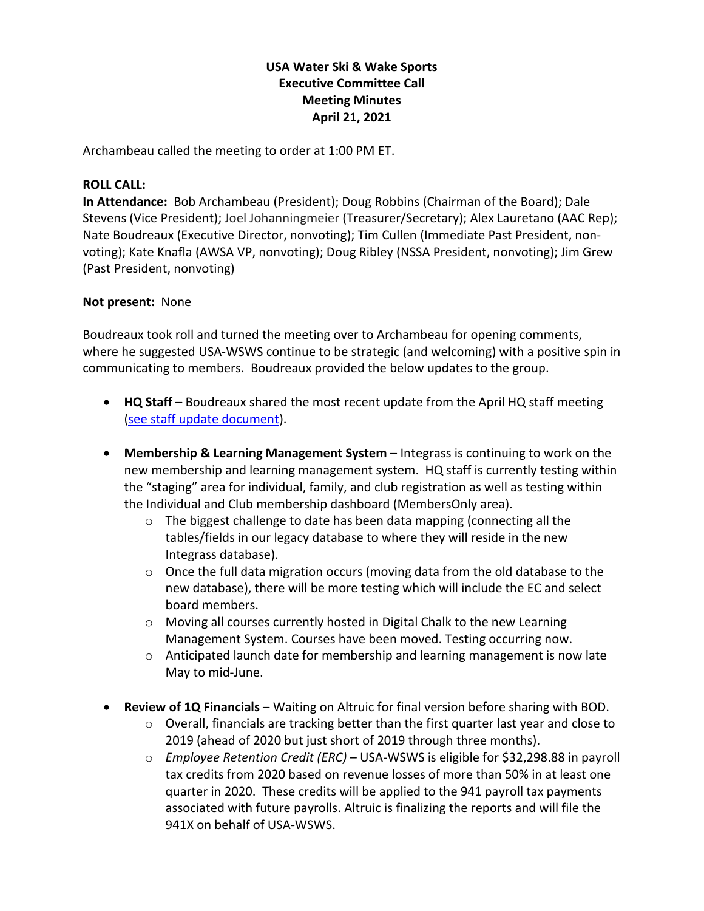# **USA Water Ski & Wake Sports Executive Committee Call Meeting Minutes April 21, 2021**

Archambeau called the meeting to order at 1:00 PM ET.

# **ROLL CALL:**

**In Attendance:** Bob Archambeau (President); Doug Robbins (Chairman of the Board); Dale Stevens (Vice President); Joel Johanningmeier (Treasurer/Secretary); Alex Lauretano (AAC Rep); Nate Boudreaux (Executive Director, nonvoting); Tim Cullen (Immediate Past President, nonvoting); Kate Knafla (AWSA VP, nonvoting); Doug Ribley (NSSA President, nonvoting); Jim Grew (Past President, nonvoting)

# **Not present:** None

Boudreaux took roll and turned the meeting over to Archambeau for opening comments, where he suggested USA-WSWS continue to be strategic (and welcoming) with a positive spin in communicating to members. Boudreaux provided the below updates to the group.

- **HQ Staff** Boudreaux shared the most recent update from the April HQ staff meeting [\(see staff update document\)](https://usawaterski.sharepoint.com/:w:/g/Ea1KF611H8dCgWfs1LgiCNIBvxBK71K7RFqshdo1yXWl1w?e=XE8Gd7).
- **Membership & Learning Management System** Integrass is continuing to work on the new membership and learning management system. HQ staff is currently testing within the "staging" area for individual, family, and club registration as well as testing within the Individual and Club membership dashboard (MembersOnly area).
	- o The biggest challenge to date has been data mapping (connecting all the tables/fields in our legacy database to where they will reside in the new Integrass database).
	- $\circ$  Once the full data migration occurs (moving data from the old database to the new database), there will be more testing which will include the EC and select board members.
	- o Moving all courses currently hosted in Digital Chalk to the new Learning Management System. Courses have been moved. Testing occurring now.
	- $\circ$  Anticipated launch date for membership and learning management is now late May to mid-June.
- **Review of 1Q Financials** Waiting on Altruic for final version before sharing with BOD.
	- $\circ$  Overall, financials are tracking better than the first quarter last year and close to 2019 (ahead of 2020 but just short of 2019 through three months).
	- o *Employee Retention Credit (ERC)* USA-WSWS is eligible for \$32,298.88 in payroll tax credits from 2020 based on revenue losses of more than 50% in at least one quarter in 2020. These credits will be applied to the 941 payroll tax payments associated with future payrolls. Altruic is finalizing the reports and will file the 941X on behalf of USA-WSWS.